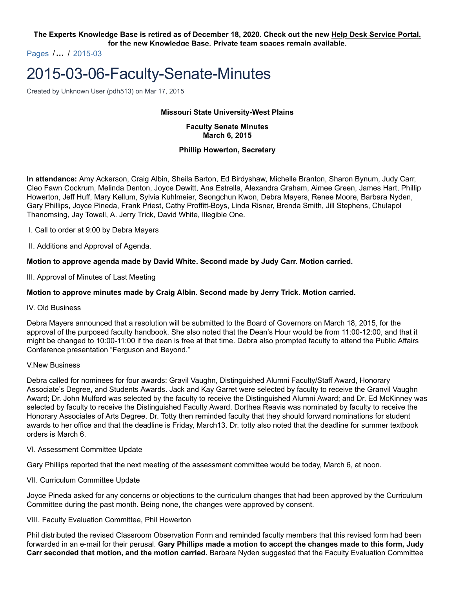**The Experts Knowledge Base is retired as of December 18, 2020. Check out the new Help Desk Service Portal. for the new Knowledge Base. Private team spaces remain available.**

Pages /**…** / 2015-03

# 2015-03-06-Faculty-Senate-Minutes

Created by Unknown User (pdh513) on Mar 17, 2015

#### **Missouri State University-West Plains**

**Faculty Senate Minutes March 6, 2015**

#### **Phillip Howerton, Secretary**

**In attendance:** Amy Ackerson, Craig Albin, Sheila Barton, Ed Birdyshaw, Michelle Branton, Sharon Bynum, Judy Carr, Cleo Fawn Cockrum, Melinda Denton, Joyce Dewitt, Ana Estrella, Alexandra Graham, Aimee Green, James Hart, Phillip Howerton, Jeff Huff, Mary Kellum, Sylvia Kuhlmeier, Seongchun Kwon, Debra Mayers, Renee Moore, Barbara Nyden, Gary Phillips, Joyce Pineda, Frank Priest, Cathy Proffitt-Boys, Linda Risner, Brenda Smith, Jill Stephens, Chulapol Thanomsing, Jay Towell, A. Jerry Trick, David White, Illegible One.

I. Call to order at 9:00 by Debra Mayers

II. Additions and Approval of Agenda.

## **Motion to approve agenda made by David White. Second made by Judy Carr. Motion carried.**

III. Approval of Minutes of Last Meeting

## **Motion to approve minutes made by Craig Albin. Second made by Jerry Trick. Motion carried.**

#### IV. Old Business

Debra Mayers announced that a resolution will be submitted to the Board of Governors on March 18, 2015, for the approval of the purposed faculty handbook. She also noted that the Dean's Hour would be from 11:00-12:00, and that it might be changed to 10:00-11:00 if the dean is free at that time. Debra also prompted faculty to attend the Public Affairs Conference presentation "Ferguson and Beyond."

#### V.New Business

Debra called for nominees for four awards: Gravil Vaughn, Distinguished Alumni Faculty/Staff Award, Honorary Associate's Degree, and Students Awards. Jack and Kay Garret were selected by faculty to receive the Granvil Vaughn Award; Dr. John Mulford was selected by the faculty to receive the Distinguished Alumni Award; and Dr. Ed McKinney was selected by faculty to receive the Distinguished Faculty Award. Dorthea Reavis was nominated by faculty to receive the Honorary Associates of Arts Degree. Dr. Totty then reminded faculty that they should forward nominations for student awards to her office and that the deadline is Friday, March13. Dr. totty also noted that the deadline for summer textbook orders is March 6.

#### VI. Assessment Committee Update

Gary Phillips reported that the next meeting of the assessment committee would be today, March 6, at noon.

VII. Curriculum Committee Update

Joyce Pineda asked for any concerns or objections to the curriculum changes that had been approved by the Curriculum Committee during the past month. Being none, the changes were approved by consent.

#### VIII. Faculty Evaluation Committee, Phil Howerton

Phil distributed the revised Classroom Observation Form and reminded faculty members that this revised form had been forwarded in an e-mail for their perusal. **Gary Phillips made a motion to accept the changes made to this form, Judy Carr seconded that motion, and the motion carried.** Barbara Nyden suggested that the Faculty Evaluation Committee